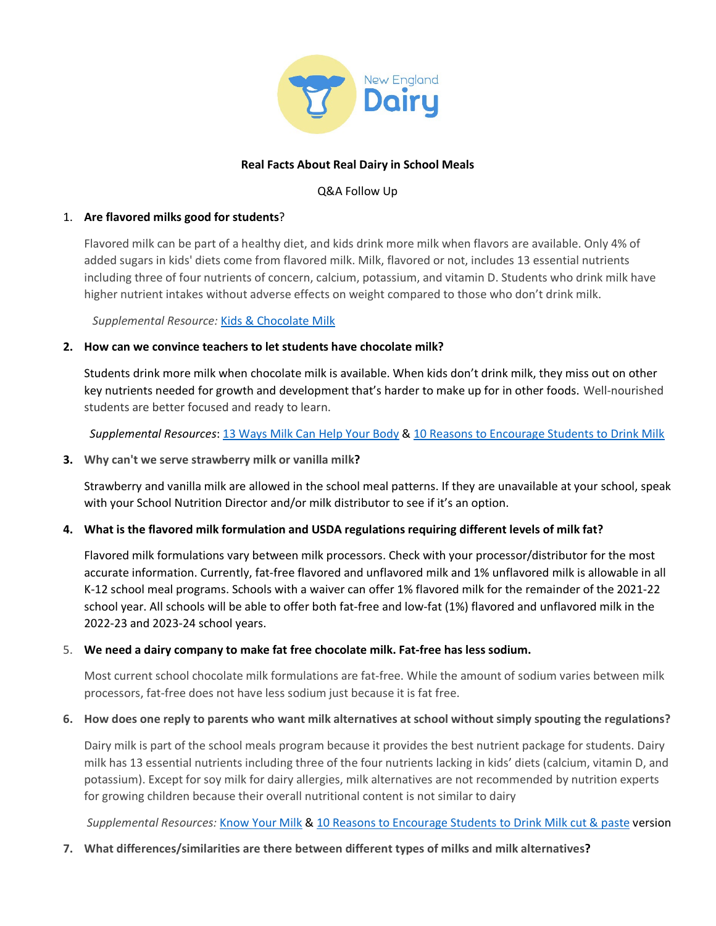

## **Real Facts About Real Dairy in School Meals**

#### Q&A Follow Up

## 1. **Are flavored milks good for students**?

Flavored milk can be part of a healthy diet, and kids drink more milk when flavors are available. Only 4% of added sugars in kids' diets come from flavored milk. Milk, flavored or not, includes 13 essential nutrients including three of four nutrients of concern, calcium, potassium, and vitamin D. Students who drink milk have higher nutrient intakes without adverse effects on weight compared to those who don't drink milk.

 *Supplemental Resource:* [Kids & Chocolate Milk](https://www.newenglanddairy.com/wp-content/uploads/Kids-and-Chocolate-Milk-Infographic-Handout-2021-NED-1.pdf)

## **2. How can we convince teachers to let students have chocolate milk?**

Students drink more milk when chocolate milk is available. When kids don't drink milk, they miss out on other key nutrients needed for growth and development that's harder to make up for in other foods. Well-nourished students are better focused and ready to learn.

 *Supplemental Resources*: 13 Ways [Milk Can Help Your Body](https://x70qf2omd3j1myjzz16p9h6m-wpengine.netdna-ssl.com/wp-content/uploads/13-nutrients-in-milk-infographic_030921_Final.pdf) & [10 Reasons to Encourage S](https://x70qf2omd3j1myjzz16p9h6m-wpengine.netdna-ssl.com/wp-content/uploads/10-Reasons-to-Encourage-Students-to-Drink-Milk.pdf)tudents to Drink Milk

**3. Why can't we serve strawberry milk or vanilla milk?**

Strawberry and vanilla milk are allowed in the school meal patterns. If they are unavailable at your school, speak with your School Nutrition Director and/or milk distributor to see if it's an option.

# **4. What is the flavored milk formulation and USDA regulations requiring different levels of milk fat?**

Flavored milk formulations vary between milk processors. Check with your processor/distributor for the most accurate information. Currently, fat-free flavored and unflavored milk and 1% unflavored milk is allowable in all K-12 school meal programs. Schools with a waiver can offer 1% flavored milk for the remainder of the 2021-22 school year. All schools will be able to offer both fat-free and low-fat (1%) flavored and unflavored milk in the 2022-23 and 2023-24 school years.

#### 5. **We need a dairy company to make fat free chocolate milk. Fat-free has less sodium.**

Most current school chocolate milk formulations are fat-free. While the amount of sodium varies between milk processors, fat-free does not have less sodium just because it is fat free.

#### **6. How does one reply to parents who want milk alternatives at school without simply spouting the regulations?**

Dairy milk is part of the school meals program because it provides the best nutrient package for students. Dairy milk has 13 essential nutrients including three of the four nutrients lacking in kids' diets (calcium, vitamin D, and potassium). Except for soy milk for dairy allergies, milk alternatives are not recommended by nutrition experts for growing children because their overall nutritional content is not similar to dairy

*Supplemental Resources:* [Know Your Milk](https://x70qf2omd3j1myjzz16p9h6m-wpengine.netdna-ssl.com/wp-content/uploads/Know-Your-Milk-PDF-NED.pdf) & [10 Reasons to Encourage Students to Drink M](https://docs.google.com/document/d/1FapacXXKJjzRFZ2bCCZzsw8nXu_7MRu7UCmSPYWNYfs/edit)ilk cut & paste version

#### **7. What differences/similarities are there between different types of milks and milk alternatives?**